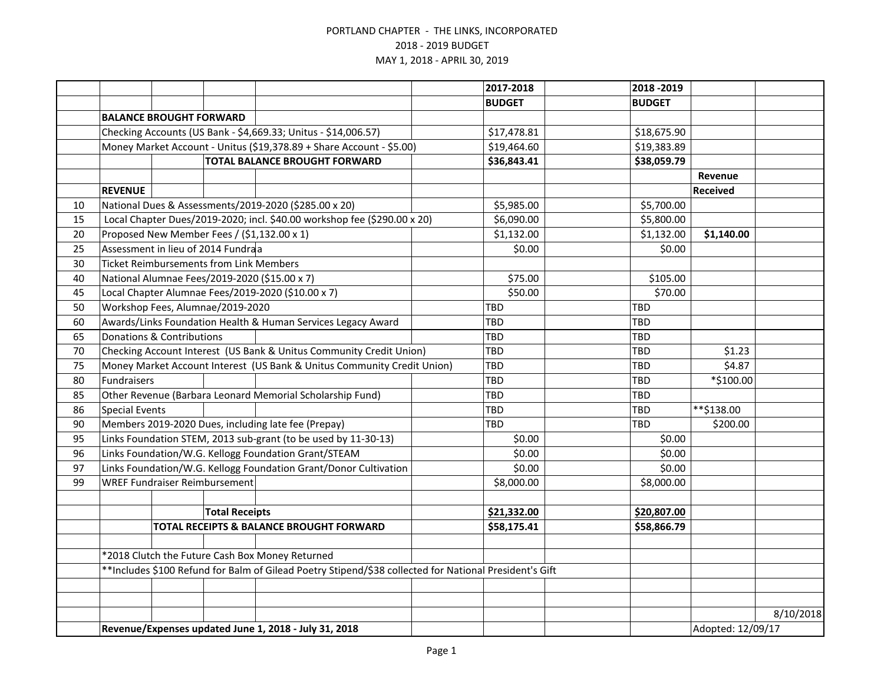|    |                                                                                                        |                                                |                       |                                                                          |  | 2017-2018     | 2018 - 2019   |                   |           |
|----|--------------------------------------------------------------------------------------------------------|------------------------------------------------|-----------------------|--------------------------------------------------------------------------|--|---------------|---------------|-------------------|-----------|
|    |                                                                                                        |                                                |                       |                                                                          |  | <b>BUDGET</b> | <b>BUDGET</b> |                   |           |
|    |                                                                                                        | <b>BALANCE BROUGHT FORWARD</b>                 |                       |                                                                          |  |               |               |                   |           |
|    |                                                                                                        |                                                |                       | Checking Accounts (US Bank - \$4,669.33; Unitus - \$14,006.57)           |  | \$17,478.81   | \$18,675.90   |                   |           |
|    |                                                                                                        |                                                |                       | Money Market Account - Unitus (\$19,378.89 + Share Account - \$5.00)     |  | \$19,464.60   | \$19,383.89   |                   |           |
|    | <b>TOTAL BALANCE BROUGHT FORWARD</b>                                                                   |                                                |                       |                                                                          |  | \$36,843.41   | \$38,059.79   |                   |           |
|    |                                                                                                        |                                                |                       |                                                                          |  |               |               | Revenue           |           |
|    | <b>REVENUE</b>                                                                                         |                                                |                       |                                                                          |  |               |               | <b>Received</b>   |           |
| 10 | National Dues & Assessments/2019-2020 (\$285.00 x 20)                                                  |                                                |                       |                                                                          |  | \$5,985.00    | \$5,700.00    |                   |           |
| 15 |                                                                                                        |                                                |                       | Local Chapter Dues/2019-2020; incl. \$40.00 workshop fee (\$290.00 x 20) |  | \$6,090.00    | \$5,800.00    |                   |           |
| 20 |                                                                                                        |                                                |                       | Proposed New Member Fees / (\$1,132.00 x 1)                              |  | \$1,132.00    | \$1,132.00    | \$1,140.00        |           |
| 25 |                                                                                                        | Assessment in lieu of 2014 Fundraa             |                       |                                                                          |  | \$0.00        |               | \$0.00            |           |
| 30 |                                                                                                        | <b>Ticket Reimbursements from Link Members</b> |                       |                                                                          |  |               |               |                   |           |
| 40 |                                                                                                        |                                                |                       | National Alumnae Fees/2019-2020 (\$15.00 x 7)                            |  | \$75.00       | \$105.00      |                   |           |
| 45 |                                                                                                        |                                                |                       | Local Chapter Alumnae Fees/2019-2020 (\$10.00 x 7)                       |  | \$50.00       |               | \$70.00           |           |
| 50 |                                                                                                        | Workshop Fees, Alumnae/2019-2020               |                       |                                                                          |  | <b>TBD</b>    | <b>TBD</b>    |                   |           |
| 60 |                                                                                                        |                                                |                       | Awards/Links Foundation Health & Human Services Legacy Award             |  | <b>TBD</b>    | TBD           |                   |           |
| 65 | <b>Donations &amp; Contributions</b>                                                                   |                                                |                       |                                                                          |  | TBD           | TBD           |                   |           |
| 70 | Checking Account Interest (US Bank & Unitus Community Credit Union)                                    |                                                |                       |                                                                          |  | <b>TBD</b>    | TBD           | \$1.23            |           |
| 75 |                                                                                                        |                                                |                       | Money Market Account Interest (US Bank & Unitus Community Credit Union)  |  | TBD           | TBD           | \$4.87            |           |
| 80 | Fundraisers                                                                                            |                                                |                       |                                                                          |  | TBD           | <b>TBD</b>    | $*$ \$100.00      |           |
| 85 |                                                                                                        |                                                |                       | Other Revenue (Barbara Leonard Memorial Scholarship Fund)                |  | TBD           | TBD           |                   |           |
| 86 | <b>Special Events</b>                                                                                  |                                                |                       |                                                                          |  | TBD           | <b>TBD</b>    | **\$138.00        |           |
| 90 |                                                                                                        |                                                |                       | Members 2019-2020 Dues, including late fee (Prepay)                      |  | TBD           | TBD           | \$200.00          |           |
| 95 | Links Foundation STEM, 2013 sub-grant (to be used by 11-30-13)                                         |                                                |                       |                                                                          |  | \$0.00        |               | \$0.00            |           |
| 96 |                                                                                                        |                                                |                       | Links Foundation/W.G. Kellogg Foundation Grant/STEAM                     |  | \$0.00        |               | \$0.00            |           |
| 97 |                                                                                                        |                                                |                       | Links Foundation/W.G. Kellogg Foundation Grant/Donor Cultivation         |  | \$0.00        |               | \$0.00            |           |
| 99 |                                                                                                        | <b>WREF Fundraiser Reimbursement</b>           |                       |                                                                          |  | \$8,000.00    | \$8,000.00    |                   |           |
|    |                                                                                                        |                                                |                       |                                                                          |  |               |               |                   |           |
|    |                                                                                                        |                                                | <b>Total Receipts</b> |                                                                          |  | \$21,332.00   | \$20,807.00   |                   |           |
|    |                                                                                                        |                                                |                       | TOTAL RECEIPTS & BALANCE BROUGHT FORWARD                                 |  | \$58,175.41   | \$58,866.79   |                   |           |
|    |                                                                                                        |                                                |                       |                                                                          |  |               |               |                   |           |
|    |                                                                                                        |                                                |                       | *2018 Clutch the Future Cash Box Money Returned                          |  |               |               |                   |           |
|    | **Includes \$100 Refund for Balm of Gilead Poetry Stipend/\$38 collected for National President's Gift |                                                |                       |                                                                          |  |               |               |                   |           |
|    |                                                                                                        |                                                |                       |                                                                          |  |               |               |                   |           |
|    |                                                                                                        |                                                |                       |                                                                          |  |               |               |                   |           |
|    |                                                                                                        |                                                |                       |                                                                          |  |               |               |                   | 8/10/2018 |
|    | Revenue/Expenses updated June 1, 2018 - July 31, 2018                                                  |                                                |                       |                                                                          |  |               |               | Adopted: 12/09/17 |           |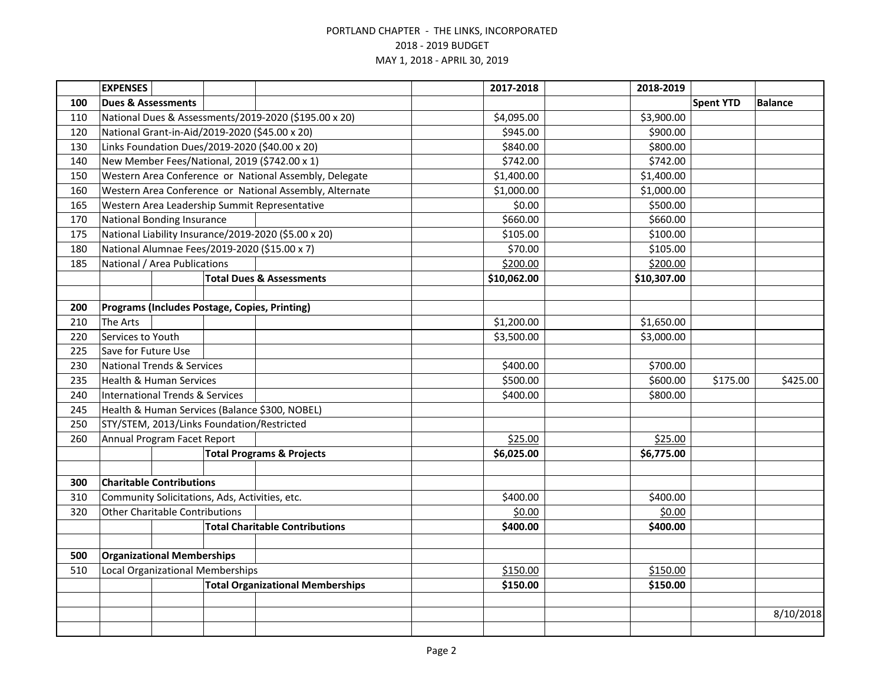|     | <b>EXPENSES</b>                                                             |  |                                                |                                                         |            | 2017-2018   | 2018-2019   |                  |                |
|-----|-----------------------------------------------------------------------------|--|------------------------------------------------|---------------------------------------------------------|------------|-------------|-------------|------------------|----------------|
| 100 | <b>Dues &amp; Assessments</b>                                               |  |                                                |                                                         |            |             |             | <b>Spent YTD</b> | <b>Balance</b> |
| 110 |                                                                             |  |                                                | National Dues & Assessments/2019-2020 (\$195.00 x 20)   |            | \$4,095.00  | \$3,900.00  |                  |                |
| 120 | National Grant-in-Aid/2019-2020 (\$45.00 x 20)                              |  |                                                |                                                         |            | \$945.00    | \$900.00    |                  |                |
| 130 |                                                                             |  |                                                | Links Foundation Dues/2019-2020 (\$40.00 x 20)          |            | \$840.00    | \$800.00    |                  |                |
| 140 |                                                                             |  |                                                | New Member Fees/National, 2019 (\$742.00 x 1)           |            | \$742.00    | \$742.00    |                  |                |
| 150 |                                                                             |  |                                                | Western Area Conference or National Assembly, Delegate  |            | \$1,400.00  | \$1,400.00  |                  |                |
| 160 |                                                                             |  |                                                | Western Area Conference or National Assembly, Alternate |            | \$1,000.00  | \$1,000.00  |                  |                |
| 165 |                                                                             |  |                                                | Western Area Leadership Summit Representative           |            | \$0.00      | \$500.00    |                  |                |
| 170 | <b>National Bonding Insurance</b>                                           |  |                                                |                                                         |            | \$660.00    | \$660.00    |                  |                |
| 175 |                                                                             |  |                                                | National Liability Insurance/2019-2020 (\$5.00 x 20)    |            | \$105.00    | \$100.00    |                  |                |
| 180 |                                                                             |  |                                                | National Alumnae Fees/2019-2020 (\$15.00 x 7)           |            | \$70.00     | \$105.00    |                  |                |
| 185 | National / Area Publications                                                |  |                                                |                                                         |            | \$200.00    | \$200.00    |                  |                |
|     |                                                                             |  |                                                | <b>Total Dues &amp; Assessments</b>                     |            | \$10,062.00 | \$10,307.00 |                  |                |
|     |                                                                             |  |                                                |                                                         |            |             |             |                  |                |
| 200 | Programs (Includes Postage, Copies, Printing)                               |  |                                                |                                                         |            |             |             |                  |                |
| 210 | The Arts                                                                    |  |                                                |                                                         |            | \$1,200.00  | \$1,650.00  |                  |                |
| 220 | Services to Youth                                                           |  |                                                |                                                         |            | \$3,500.00  | \$3,000.00  |                  |                |
| 225 | Save for Future Use                                                         |  |                                                |                                                         |            |             |             |                  |                |
| 230 | <b>National Trends &amp; Services</b>                                       |  |                                                |                                                         |            | \$400.00    | \$700.00    |                  |                |
| 235 | <b>Health &amp; Human Services</b>                                          |  |                                                |                                                         |            | \$500.00    | \$600.00    | \$175.00         | \$425.00       |
| 240 | <b>International Trends &amp; Services</b>                                  |  |                                                |                                                         |            | \$400.00    | \$800.00    |                  |                |
| 245 |                                                                             |  | Health & Human Services (Balance \$300, NOBEL) |                                                         |            |             |             |                  |                |
| 250 | STY/STEM, 2013/Links Foundation/Restricted                                  |  |                                                |                                                         |            |             |             |                  |                |
| 260 | Annual Program Facet Report                                                 |  |                                                |                                                         | \$25.00    | \$25.00     |             |                  |                |
|     | <b>Total Programs &amp; Projects</b>                                        |  |                                                |                                                         | \$6,025.00 | \$6,775.00  |             |                  |                |
|     |                                                                             |  |                                                |                                                         |            |             |             |                  |                |
| 300 | <b>Charitable Contributions</b>                                             |  |                                                |                                                         |            |             |             |                  |                |
| 310 | Community Solicitations, Ads, Activities, etc.                              |  |                                                |                                                         |            | \$400.00    | \$400.00    |                  |                |
| 320 | <b>Other Charitable Contributions</b>                                       |  |                                                |                                                         | \$0.00     | \$0.00      |             |                  |                |
|     |                                                                             |  |                                                | <b>Total Charitable Contributions</b>                   |            | \$400.00    | \$400.00    |                  |                |
|     |                                                                             |  |                                                |                                                         |            |             |             |                  |                |
| 510 | <b>Organizational Memberships</b><br>500                                    |  |                                                |                                                         |            |             |             |                  |                |
|     | Local Organizational Memberships<br><b>Total Organizational Memberships</b> |  |                                                |                                                         | \$150.00   | \$150.00    |             |                  |                |
|     |                                                                             |  |                                                |                                                         |            | \$150.00    | \$150.00    |                  |                |
|     |                                                                             |  |                                                |                                                         |            |             |             |                  | 8/10/2018      |
|     |                                                                             |  |                                                |                                                         |            |             |             |                  |                |
|     |                                                                             |  |                                                |                                                         |            |             |             |                  |                |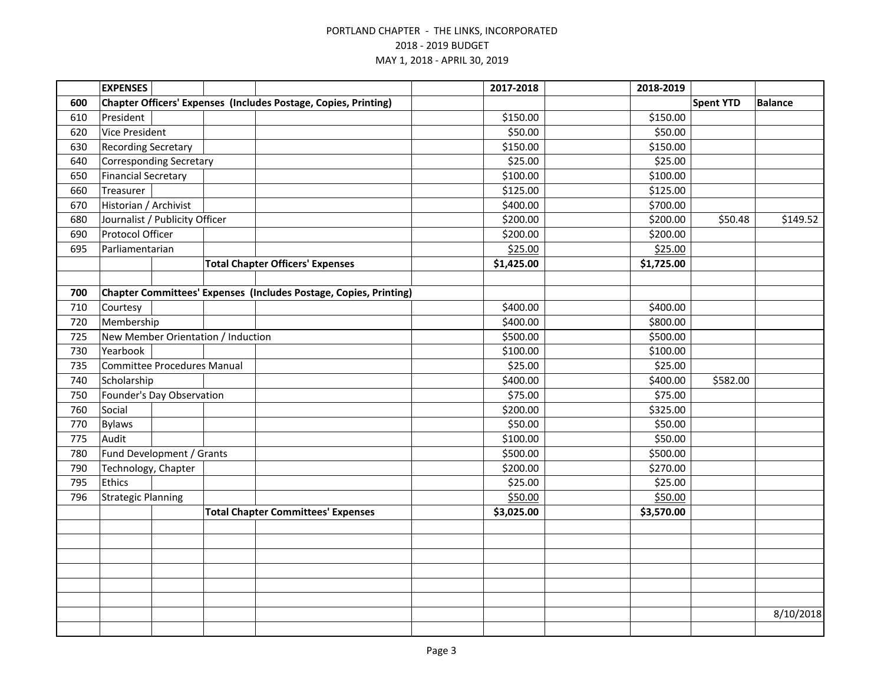|     | <b>EXPENSES</b>                    |  |  |                                                                   | 2017-2018  | 2018-2019  |                  |                |
|-----|------------------------------------|--|--|-------------------------------------------------------------------|------------|------------|------------------|----------------|
| 600 |                                    |  |  | Chapter Officers' Expenses (Includes Postage, Copies, Printing)   |            |            | <b>Spent YTD</b> | <b>Balance</b> |
| 610 | President                          |  |  |                                                                   | \$150.00   | \$150.00   |                  |                |
| 620 | <b>Vice President</b>              |  |  |                                                                   | \$50.00    | \$50.00    |                  |                |
| 630 | <b>Recording Secretary</b>         |  |  |                                                                   | \$150.00   | \$150.00   |                  |                |
| 640 | Corresponding Secretary            |  |  |                                                                   | \$25.00    | \$25.00    |                  |                |
| 650 | <b>Financial Secretary</b>         |  |  |                                                                   | \$100.00   | \$100.00   |                  |                |
| 660 | Treasurer                          |  |  |                                                                   | \$125.00   | \$125.00   |                  |                |
| 670 | Historian / Archivist              |  |  |                                                                   | \$400.00   | \$700.00   |                  |                |
| 680 | Journalist / Publicity Officer     |  |  |                                                                   | \$200.00   | \$200.00   | \$50.48          | \$149.52       |
| 690 | Protocol Officer                   |  |  |                                                                   | \$200.00   | \$200.00   |                  |                |
| 695 | Parliamentarian                    |  |  |                                                                   | \$25.00    | \$25.00    |                  |                |
|     |                                    |  |  | <b>Total Chapter Officers' Expenses</b>                           | \$1,425.00 | \$1,725.00 |                  |                |
|     |                                    |  |  |                                                                   |            |            |                  |                |
| 700 |                                    |  |  | Chapter Committees' Expenses (Includes Postage, Copies, Printing) |            |            |                  |                |
| 710 | Courtesy                           |  |  |                                                                   | \$400.00   | \$400.00   |                  |                |
| 720 | Membership                         |  |  |                                                                   | \$400.00   | \$800.00   |                  |                |
| 725 | New Member Orientation / Induction |  |  |                                                                   | \$500.00   | \$500.00   |                  |                |
| 730 | Yearbook                           |  |  |                                                                   | \$100.00   | \$100.00   |                  |                |
| 735 | <b>Committee Procedures Manual</b> |  |  |                                                                   | \$25.00    | \$25.00    |                  |                |
| 740 | Scholarship                        |  |  |                                                                   | \$400.00   | \$400.00   | \$582.00         |                |
| 750 | Founder's Day Observation          |  |  |                                                                   | \$75.00    | \$75.00    |                  |                |
| 760 | Social                             |  |  |                                                                   | \$200.00   | \$325.00   |                  |                |
| 770 | <b>Bylaws</b>                      |  |  |                                                                   | \$50.00    | \$50.00    |                  |                |
| 775 | Audit                              |  |  |                                                                   | \$100.00   | \$50.00    |                  |                |
| 780 | Fund Development / Grants          |  |  |                                                                   | \$500.00   | \$500.00   |                  |                |
| 790 | Technology, Chapter                |  |  |                                                                   | \$200.00   | \$270.00   |                  |                |
| 795 | Ethics                             |  |  |                                                                   | \$25.00    | \$25.00    |                  |                |
| 796 | <b>Strategic Planning</b>          |  |  |                                                                   | \$50.00    | \$50.00    |                  |                |
|     |                                    |  |  | <b>Total Chapter Committees' Expenses</b>                         | \$3,025.00 | \$3,570.00 |                  |                |
|     |                                    |  |  |                                                                   |            |            |                  |                |
|     |                                    |  |  |                                                                   |            |            |                  |                |
|     |                                    |  |  |                                                                   |            |            |                  |                |
|     |                                    |  |  |                                                                   |            |            |                  |                |
|     |                                    |  |  |                                                                   |            |            |                  |                |
|     |                                    |  |  |                                                                   |            |            |                  |                |
|     |                                    |  |  |                                                                   |            |            |                  | 8/10/2018      |
|     |                                    |  |  |                                                                   |            |            |                  |                |